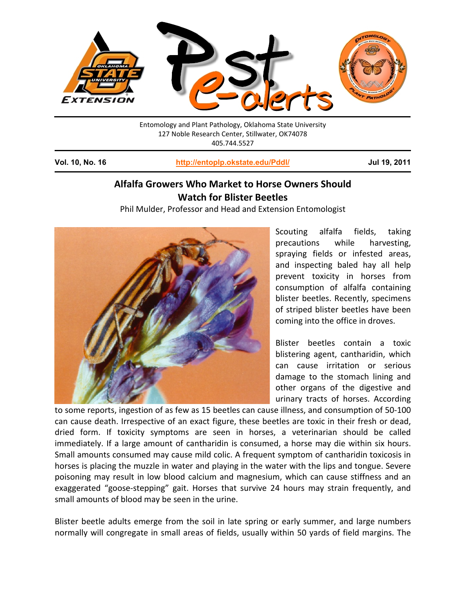

Entomology and Plant Pathology, Oklahoma State University 127 Noble Research Center, Stillwater, OK74078 405.744.5527

**Vol. 10, No. 16 <http://entoplp.okstate.edu/Pddl/> Jul 19, 2011**

## **Alfalfa Growers Who Market to Horse Owners Should Watch for Blister Beetles**

Phil Mulder, Professor and Head and Extension Entomologist



Scouting alfalfa fields, taking precautions while harvesting, spraying fields or infested areas, and inspecting baled hay all help prevent toxicity in horses from consumption of alfalfa containing blister beetles. Recently, specimens of striped blister beetles have been coming into the office in droves.

Blister beetles contain a toxic blistering agent, cantharidin, which can cause irritation or serious damage to the stomach lining and other organs of the digestive and urinary tracts of horses. According

to some reports, ingestion of as few as 15 beetles can cause illness, and consumption of 50-100 can cause death. Irrespective of an exact figure, these beetles are toxic in their fresh or dead, dried form. If toxicity symptoms are seen in horses, a veterinarian should be called immediately. If a large amount of cantharidin is consumed, a horse may die within six hours. Small amounts consumed may cause mild colic. A frequent symptom of cantharidin toxicosis in horses is placing the muzzle in water and playing in the water with the lips and tongue. Severe poisoning may result in low blood calcium and magnesium, which can cause stiffness and an exaggerated "goose-stepping" gait. Horses that survive 24 hours may strain frequently, and small amounts of blood may be seen in the urine.

Blister beetle adults emerge from the soil in late spring or early summer, and large numbers normally will congregate in small areas of fields, usually within 50 yards of field margins. The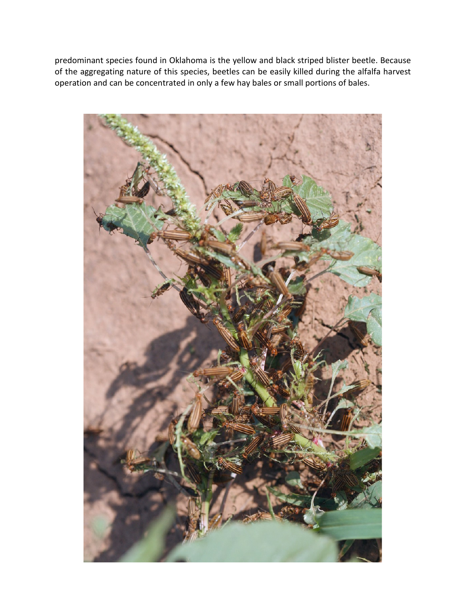predominant species found in Oklahoma is the yellow and black striped blister beetle. Because of the aggregating nature of this species, beetles can be easily killed during the alfalfa harvest operation and can be concentrated in only a few hay bales or small portions of bales.

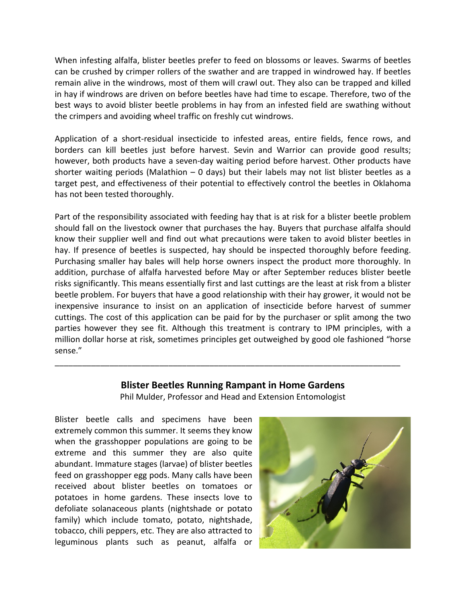When infesting alfalfa, blister beetles prefer to feed on blossoms or leaves. Swarms of beetles can be crushed by crimper rollers of the swather and are trapped in windrowed hay. If beetles remain alive in the windrows, most of them will crawl out. They also can be trapped and killed in hay if windrows are driven on before beetles have had time to escape. Therefore, two of the best ways to avoid blister beetle problems in hay from an infested field are swathing without the crimpers and avoiding wheel traffic on freshly cut windrows.

Application of a short-residual insecticide to infested areas, entire fields, fence rows, and borders can kill beetles just before harvest. Sevin and Warrior can provide good results; however, both products have a seven-day waiting period before harvest. Other products have shorter waiting periods (Malathion  $-$  0 days) but their labels may not list blister beetles as a target pest, and effectiveness of their potential to effectively control the beetles in Oklahoma has not been tested thoroughly.

Part of the responsibility associated with feeding hay that is at risk for a blister beetle problem should fall on the livestock owner that purchases the hay. Buyers that purchase alfalfa should know their supplier well and find out what precautions were taken to avoid blister beetles in hay. If presence of beetles is suspected, hay should be inspected thoroughly before feeding. Purchasing smaller hay bales will help horse owners inspect the product more thoroughly. In addition, purchase of alfalfa harvested before May or after September reduces blister beetle risks significantly. This means essentially first and last cuttings are the least at risk from a blister beetle problem. For buyers that have a good relationship with their hay grower, it would not be inexpensive insurance to insist on an application of insecticide before harvest of summer cuttings. The cost of this application can be paid for by the purchaser or split among the two parties however they see fit. Although this treatment is contrary to IPM principles, with a million dollar horse at risk, sometimes principles get outweighed by good ole fashioned "horse sense."

### **Blister Beetles Running Rampant in Home Gardens**

\_\_\_\_\_\_\_\_\_\_\_\_\_\_\_\_\_\_\_\_\_\_\_\_\_\_\_\_\_\_\_\_\_\_\_\_\_\_\_\_\_\_\_\_\_\_\_\_\_\_\_\_\_\_\_\_\_\_\_\_\_\_\_\_\_\_\_\_\_\_\_\_\_\_\_\_

Phil Mulder, Professor and Head and Extension Entomologist

Blister beetle calls and specimens have been extremely common this summer. It seems they know when the grasshopper populations are going to be extreme and this summer they are also quite abundant. Immature stages (larvae) of blister beetles feed on grasshopper egg pods. Many calls have been received about blister beetles on tomatoes or potatoes in home gardens. These insects love to defoliate solanaceous plants (nightshade or potato family) which include tomato, potato, nightshade, tobacco, chili peppers, etc. They are also attracted to leguminous plants such as peanut, alfalfa or

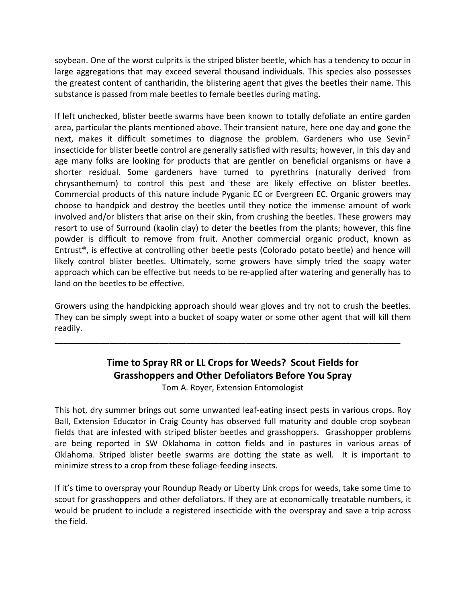soybean. One of the worst culprits is the striped blister beetle, which has a tendency to occur in large aggregations that may exceed several thousand individuals. This species also possesses the greatest content of cantharidin, the blistering agent that gives the beetles their name. This substance is passed from male beetles to female beetles during mating.

If left unchecked, blister beetle swarms have been known to totally defoliate an entire garden area, particular the plants mentioned above. Their transient nature, here one day and gone the next, makes it difficult sometimes to diagnose the problem. Gardeners who use Sevin® insecticide for blister beetle control are generally satisfied with results; however, in this day and age many folks are looking for products that are gentler on beneficial organisms or have a shorter residual. Some gardeners have turned to pyrethrins (naturally derived from chrysanthemum) to control this pest and these are likely effective on blister beetles. Commercial products of this nature include Pyganic EC or Evergreen EC. Organic growers may choose to handpick and destroy the beetles until they notice the immense amount of work involved and/or blisters that arise on their skin, from crushing the beetles. These growers may resort to use of Surround (kaolin clay) to deter the beetles from the plants; however, this fine powder is difficult to remove from fruit. Another commercial organic product, known as Entrust®, is effective at controlling other beetle pests (Colorado potato beetle) and hence will likely control blister beetles. Ultimately, some growers have simply tried the soapy water approach which can be effective but needs to be re-applied after watering and generally has to land on the beetles to be effective.

Growers using the handpicking approach should wear gloves and try not to crush the beetles. They can be simply swept into a bucket of soapy water or some other agent that will kill them readily.

\_\_\_\_\_\_\_\_\_\_\_\_\_\_\_\_\_\_\_\_\_\_\_\_\_\_\_\_\_\_\_\_\_\_\_\_\_\_\_\_\_\_\_\_\_\_\_\_\_\_\_\_\_\_\_\_\_\_\_\_\_\_\_\_\_\_\_\_\_\_\_\_\_\_\_\_

# **Time to Spray RR or LL Crops for Weeds? Scout Fields for Grasshoppers and Other Defoliators Before You Spray**

Tom A. Royer, Extension Entomologist

This hot, dry summer brings out some unwanted leaf-eating insect pests in various crops. Roy Ball, Extension Educator in Craig County has observed full maturity and double crop soybean fields that are infested with striped blister beetles and grasshoppers. Grasshopper problems are being reported in SW Oklahoma in cotton fields and in pastures in various areas of Oklahoma. Striped blister beetle swarms are dotting the state as well. It is important to minimize stress to a crop from these foliage-feeding insects.

If it's time to overspray your Roundup Ready or Liberty Link crops for weeds, take some time to scout for grasshoppers and other defoliators. If they are at economically treatable numbers, it would be prudent to include a registered insecticide with the overspray and save a trip across the field.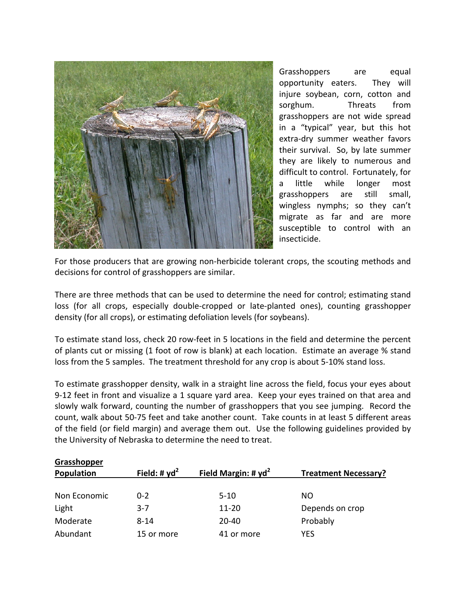

Grasshoppers are equal opportunity eaters. They will injure soybean, corn, cotton and sorghum. Threats from grasshoppers are not wide spread in a "typical" year, but this hot extra-dry summer weather favors their survival. So, by late summer they are likely to numerous and difficult to control. Fortunately, for a little while longer most grasshoppers are still small, wingless nymphs; so they can't migrate as far and are more susceptible to control with an insecticide.

For those producers that are growing non-herbicide tolerant crops, the scouting methods and decisions for control of grasshoppers are similar.

There are three methods that can be used to determine the need for control; estimating stand loss (for all crops, especially double-cropped or late-planted ones), counting grasshopper density (for all crops), or estimating defoliation levels (for soybeans).

To estimate stand loss, check 20 row-feet in 5 locations in the field and determine the percent of plants cut or missing (1 foot of row is blank) at each location. Estimate an average % stand loss from the 5 samples. The treatment threshold for any crop is about 5-10% stand loss.

To estimate grasshopper density, walk in a straight line across the field, focus your eyes about 9-12 feet in front and visualize a 1 square yard area. Keep your eyes trained on that area and slowly walk forward, counting the number of grasshoppers that you see jumping. Record the count, walk about 50-75 feet and take another count. Take counts in at least 5 different areas of the field (or field margin) and average them out. Use the following guidelines provided by the University of Nebraska to determine the need to treat.

| Grasshopper  |                 |                        |                             |
|--------------|-----------------|------------------------|-----------------------------|
| Population   | Field: # $yd^2$ | Field Margin: # $yd^2$ | <b>Treatment Necessary?</b> |
|              |                 |                        |                             |
| Non Economic | $0 - 2$         | $5 - 10$               | <b>NO</b>                   |
| Light        | $3 - 7$         | $11 - 20$              | Depends on crop             |
| Moderate     | $8 - 14$        | $20 - 40$              | Probably                    |
| Abundant     | 15 or more      | 41 or more             | <b>YFS</b>                  |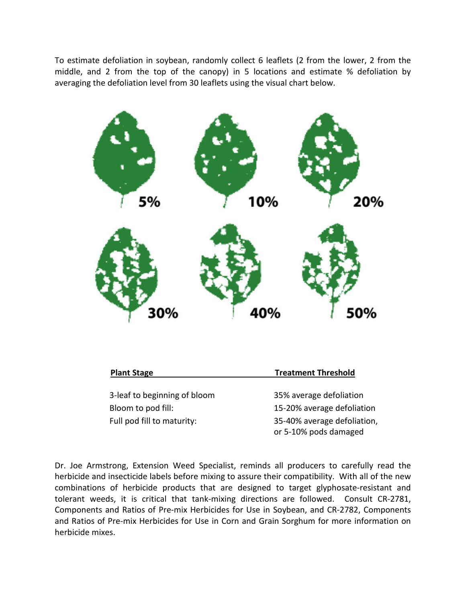To estimate defoliation in soybean, randomly collect 6 leaflets (2 from the lower, 2 from the middle, and 2 from the top of the canopy) in 5 locations and estimate % defoliation by averaging the defoliation level from 30 leaflets using the visual chart below.



| <b>Plant Stage</b>                                 | <b>Treatment Threshold</b>                            |  |
|----------------------------------------------------|-------------------------------------------------------|--|
| 3-leaf to beginning of bloom<br>Bloom to pod fill: | 35% average defoliation<br>15-20% average defoliation |  |
| Full pod fill to maturity:                         | 35-40% average defoliation,<br>or 5-10% pods damaged  |  |

Dr. Joe Armstrong, Extension Weed Specialist, reminds all producers to carefully read the herbicide and insecticide labels before mixing to assure their compatibility. With all of the new combinations of herbicide products that are designed to target glyphosate-resistant and tolerant weeds, it is critical that tank-mixing directions are followed. Consult CR-2781, Components and Ratios of Pre-mix Herbicides for Use in Soybean, and CR-2782, Components and Ratios of Pre-mix Herbicides for Use in Corn and Grain Sorghum for more information on herbicide mixes.